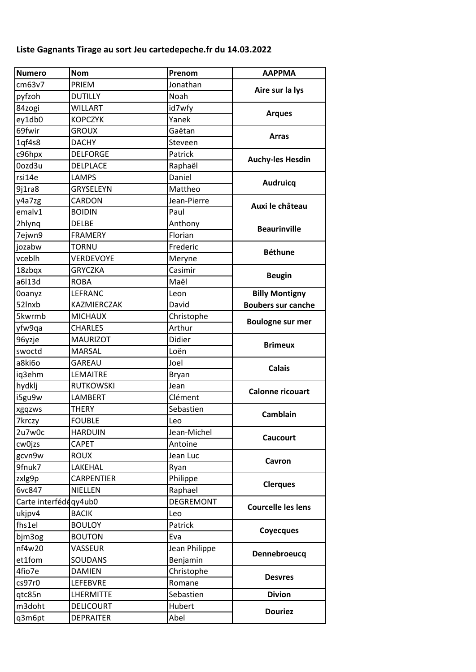## Liste Gagnants Tirage au sort Jeu cartedepeche.fr du 14.03.2022

| <b>Numero</b>         | <b>Nom</b>       | Prenom           | <b>AAPPMA</b>             |
|-----------------------|------------------|------------------|---------------------------|
| cm63v7                | PRIEM            | Jonathan         | Aire sur la lys           |
| pyfzoh                | <b>DUTILLY</b>   | Noah             |                           |
| 84zogi                | <b>WILLART</b>   | id7wfy           | <b>Arques</b>             |
| ey1db0                | <b>KOPCZYK</b>   | Yanek            |                           |
| 69fwir                | <b>GROUX</b>     | Gaëtan           | <b>Arras</b>              |
| 1qf4s8                | <b>DACHY</b>     | Steveen          |                           |
| c96hpx                | <b>DELFORGE</b>  | Patrick          | <b>Auchy-les Hesdin</b>   |
| Oozd3u                | DELPLACE         | Raphaël          |                           |
| rsi14e                | LAMPS            | Daniel           | <b>Audruicq</b>           |
| 9j1ra8                | GRYSELEYN        | Mattheo          |                           |
| y4a7zg                | CARDON           | Jean-Pierre      |                           |
| emalv1                | <b>BOIDIN</b>    | Paul             | Auxi le château           |
| 2hlynq                | <b>DELBE</b>     | Anthony          |                           |
| 7ejwn9                | <b>FRAMERY</b>   | Florian          | <b>Beaurinville</b>       |
| jozabw                | TORNU            | Frederic         |                           |
| vceblh                | VERDEVOYE        | Meryne           | <b>Béthune</b>            |
| 18zbqx                | <b>GRYCZKA</b>   | Casimir          |                           |
| a6l13d                | <b>ROBA</b>      | Maël             | <b>Beugin</b>             |
| <b>Ooanyz</b>         | LEFRANC          | Leon             | <b>Billy Montigny</b>     |
| 52lnxb                | KAZMIERCZAK      | David            | <b>Boubers sur canche</b> |
| 5kwrmb                | <b>MICHAUX</b>   | Christophe       |                           |
| yfw9qa                | <b>CHARLES</b>   | Arthur           | <b>Boulogne sur mer</b>   |
| 96yzje                | <b>MAURIZOT</b>  | Didier           | <b>Brimeux</b>            |
| swoctd                | <b>MARSAL</b>    | Loën             |                           |
| a8ki6o                | <b>GAREAU</b>    | Joel             | <b>Calais</b>             |
| iq3ehm                | LEMAITRE         | Bryan            |                           |
| hydklj                | <b>RUTKOWSKI</b> | Jean             | <b>Calonne ricouart</b>   |
| i5gu9w                | LAMBERT          | Clément          |                           |
| xgqzws                | <b>THERY</b>     | Sebastien        |                           |
| 7krczy                | <b>FOUBLE</b>    | Leo              | <b>Camblain</b>           |
| 2u7w0c                | <b>HARDUIN</b>   | Jean-Michel      |                           |
| cw0jzs                | CAPET            | Antoine          | <b>Caucourt</b>           |
| gcvn9w                | <b>ROUX</b>      | Jean Luc         |                           |
| 9fnuk7                | LAKEHAL          | Ryan             | Cavron                    |
| zxlg9p                | CARPENTIER       | Philippe         |                           |
| 6vc847                | <b>NIELLEN</b>   | Raphael          | <b>Clerques</b>           |
| Carte interfédéqy4ub0 |                  | <b>DEGREMONT</b> | <b>Courcelle les lens</b> |
| ukjpv4                | <b>BACIK</b>     | Leo              |                           |
| fhs1el                | <b>BOULOY</b>    | Patrick          |                           |
| bjm3og                | <b>BOUTON</b>    | Eva              | <b>Coyecques</b>          |
| nf4w20                | VASSEUR          | Jean Philippe    | Dennebroeucq              |
| et1fom                | <b>SOUDANS</b>   | Benjamin         |                           |
| 4fio7e                | <b>DAMIEN</b>    | Christophe       |                           |
| cs97r0                | LEFEBVRE         | Romane           | <b>Desvres</b>            |
| qtc85n                | <b>LHERMITTE</b> | Sebastien        | <b>Divion</b>             |
| m3doht                | <b>DELICOURT</b> | Hubert           |                           |
| q3m6pt                | <b>DEPRAITER</b> | Abel             | <b>Douriez</b>            |
|                       |                  |                  |                           |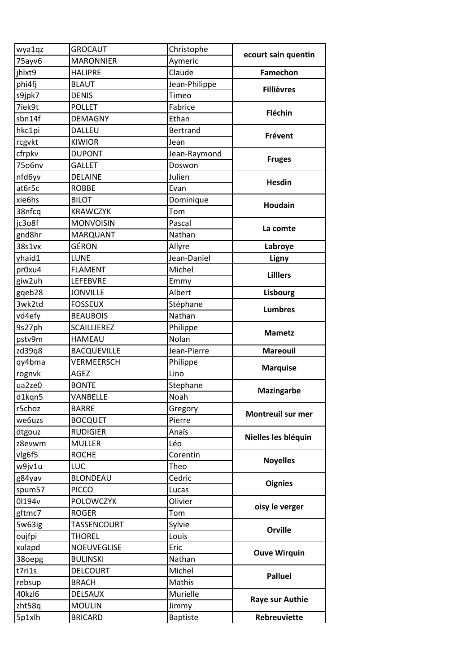| wya1qz | <b>GROCAUT</b>     | Christophe      | ecourt sain quentin      |
|--------|--------------------|-----------------|--------------------------|
| 75ayv6 | <b>MARONNIER</b>   | Aymeric         |                          |
| jhlxt9 | <b>HALIPRE</b>     | Claude          | <b>Famechon</b>          |
| phi4fj | <b>BLAUT</b>       | Jean-Philippe   | <b>Fillièvres</b>        |
| s9jpk7 | <b>DENIS</b>       | Timeo           |                          |
| 7iek9t | <b>POLLET</b>      | Fabrice         | Fléchin                  |
| sbn14f | <b>DEMAGNY</b>     | Ethan           |                          |
| hkc1pi | DALLEU             | <b>Bertrand</b> | Frévent                  |
| rcgvkt | <b>KIWIOR</b>      | Jean            |                          |
| cfrpkv | <b>DUPONT</b>      | Jean-Raymond    | <b>Fruges</b>            |
| 75o6nv | <b>GALLET</b>      | Doswon          |                          |
| nfd6yv | <b>DELAINE</b>     | Julien          |                          |
| at6r5c | <b>ROBBE</b>       | Evan            | <b>Hesdin</b>            |
| xie6hs | <b>BILOT</b>       | Dominique       | <b>Houdain</b>           |
| 38nfcq | <b>KRAWCZYK</b>    | Tom             |                          |
| jc3o8f | <b>MONVOISIN</b>   | Pascal          |                          |
| gnd8hr | <b>MARQUANT</b>    | Nathan          | La comte                 |
| 38s1vx | GÉRON              | Allyre          | Labroye                  |
| yhaid1 | <b>LUNE</b>        | Jean-Daniel     | Ligny                    |
| pr0xu4 | <b>FLAMENT</b>     | Michel          |                          |
| giw2uh | LEFEBVRE           | Emmy            | <b>Lilllers</b>          |
| gqeb28 | <b>JONVILLE</b>    | Albert          | Lisbourg                 |
| 3wk2td | <b>FOSSEUX</b>     | Stéphane        |                          |
| vd4efy | <b>BEAUBOIS</b>    | Nathan          | <b>Lumbres</b>           |
| 9s27ph | <b>SCAILLIEREZ</b> | Philippe        |                          |
| pstv9m | <b>HAMEAU</b>      | Nolan           | <b>Mametz</b>            |
| zd39q8 | <b>BACQUEVILLE</b> | Jean-Pierre     | <b>Mareouil</b>          |
| qy4bma | VERMEERSCH         | Philippe        |                          |
| rognvk | AGEZ               | Lino            | <b>Marquise</b>          |
| ua2ze0 | <b>BONTE</b>       | Stephane        |                          |
| d1kqn5 | VANBELLE           | Noah            | <b>Mazingarbe</b>        |
| r5choz | <b>BARRE</b>       | Gregory         | <b>Montreuil sur mer</b> |
| we6uzs | <b>BOCQUET</b>     | Pierre          |                          |
| dtgouz | <b>RUDIGIER</b>    | Anaïs           |                          |
| z8evwm | <b>MULLER</b>      | Léo             | Nielles les bléquin      |
| vlg6f5 | <b>ROCHE</b>       | Corentin        | <b>Noyelles</b>          |
| w9jv1u | LUC                | Theo            |                          |
| g84yav | <b>BLONDEAU</b>    | Cedric          | <b>Oignies</b>           |
| spum57 | <b>PICCO</b>       | Lucas           |                          |
| 0l194v | <b>POLOWCZYK</b>   | Olivier         | oisy le verger           |
| gftmc7 | <b>ROGER</b>       | Tom             |                          |
| 5w63ig | TASSENCOURT        | Sylvie          | <b>Orville</b>           |
| oujfpi | THOREL             | Louis           |                          |
| xulapd | NOEUVEGLISE        | Eric            |                          |
| 38oepg | <b>BULINSKI</b>    | Nathan          | <b>Ouve Wirquin</b>      |
| t7ri1s | <b>DELCOURT</b>    | Michel          | <b>Palluel</b>           |
| rebsup | <b>BRACH</b>       | Mathis          |                          |
| 40kzl6 | <b>DELSAUX</b>     | Murielle        | <b>Raye sur Authie</b>   |
| zht58q | <b>MOULIN</b>      | Jimmy           |                          |
| 5p1xlh | <b>BRICARD</b>     | <b>Baptiste</b> | Rebreuviette             |
|        |                    |                 |                          |